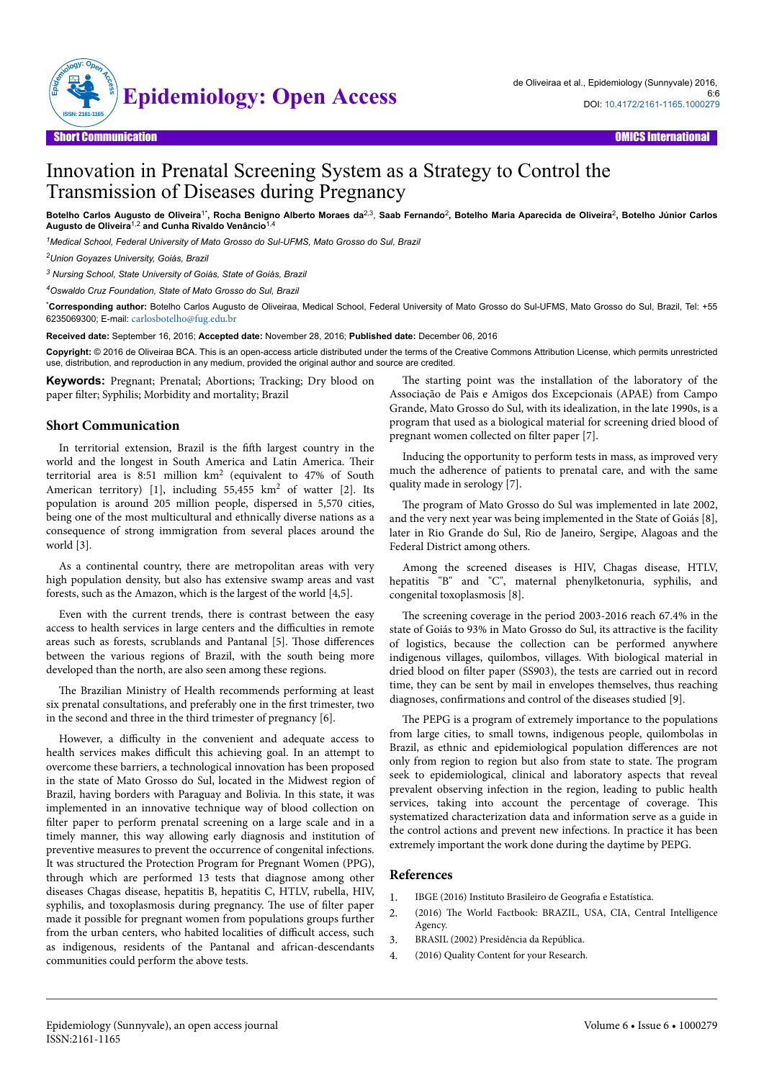

## Innovation in Prenatal Screening System as a Strategy to Control the Transmission of Diseases during Pregnancy

Botelho Carlos Augusto de Oliveira<sup>1\*</sup>, Rocha Benigno Alberto Moraes da<sup>2,3</sup>, Saab Fernando<sup>2</sup>, Botelho Maria Aparecida de Oliveira<sup>2</sup>, Botelho Júnior Carlos **Augusto de Oliveira**1,2 **and Cunha Rivaldo Venâncio**1,4

*<sup>1</sup>Medical School, Federal University of Mato Grosso do Sul-UFMS, Mato Grosso do Sul, Brazil*

*<sup>2</sup>Union Goyazes University, Goiás, Brazil*

*3 Nursing School, State University of Goiás, State of Goiás, Brazil*

*<sup>4</sup>Oswaldo Cruz Foundation, State of Mato Grosso do Sul, Brazil*

\***Corresponding author:** Botelho Carlos Augusto de Oliveiraa, Medical School, Federal University of Mato Grosso do Sul-UFMS, Mato Grosso do Sul, Brazil, Tel: +55 6235069300; E-mail: [carlosbotelho@fug.edu.br](mailto:carlosbotelho@fug.edu.br)

**Received date:** September 16, 2016; **Accepted date:** November 28, 2016; **Published date:** December 06, 2016

**Copyright:** © 2016 de Oliveiraa BCA. This is an open-access article distributed under the terms of the Creative Commons Attribution License, which permits unrestricted use, distribution, and reproduction in any medium, provided the original author and source are credited.

**Keywords:** Pregnant; Prenatal; Abortions; Tracking; Dry blood on paper filter; Syphilis; Morbidity and mortality; Brazil

## **Short Communication**

In territorial extension, Brazil is the fifth largest country in the world and the longest in South America and Latin America. Нeir territorial area is 8:51 million km<sup>2</sup> (equivalent to 47% of South American territory) [1], including 55,455 km<sup>2</sup> of watter [2]. Its population is around 205 million people, dispersed in 5,570 cities, being one of the most multicultural and ethnically diverse nations as a consequence of strong immigration from several places around the world [3].

As a continental country, there are metropolitan areas with very high population density, but also has extensive swamp areas and vast forests, such as the Amazon, which is the largest of the world [4,5].

Even with the current trends, there is contrast between the easy access to health services in large centers and the difficulties in remote areas such as forests, scrublands and Pantanal [5]. Those differences between the various regions of Brazil, with the south being more developed than the north, are also seen among these regions.

The Brazilian Ministry of Health recommends performing at least six prenatal consultations, and preferably one in the first trimester, two in the second and three in the third trimester of pregnancy [6].

However, a difficulty in the convenient and adequate access to health services makes difficult this achieving goal. In an attempt to overcome these barriers, a technological innovation has been proposed in the state of Mato Grosso do Sul, located in the Midwest region of Brazil, having borders with Paraguay and Bolivia. In this state, it was implemented in an innovative technique way of blood collection on filter paper to perform prenatal screening on a large scale and in a timely manner, this way allowing early diagnosis and institution of preventive measures to prevent the occurrence of congenital infections. It was structured the Protection Program for Pregnant Women (PPG), through which are performed 13 tests that diagnose among other diseases Chagas disease, hepatitis B, hepatitis C, HTLV, rubella, HIV, syphilis, and toxoplasmosis during pregnancy. The use of filter paper made it possible for pregnant women from populations groups further from the urban centers, who habited localities of difficult access, such as indigenous, residents of the Pantanal and african-descendants communities could perform the above tests.

The starting point was the installation of the laboratory of the Associação de Pais e Amigos dos Excepcionais (APAE) from Campo Grande, Mato Grosso do Sul, with its idealization, in the late 1990s, is a program that used as a biological material for screening dried blood of pregnant women collected on filter paper [7].

Inducing the opportunity to perform tests in mass, as improved very much the adherence of patients to prenatal care, and with the same quality made in serology [7].

The program of Mato Grosso do Sul was implemented in late 2002, and the very next year was being implemented in the State of Goiás [8], later in Rio Grande do Sul, Rio de Janeiro, Sergipe, Alagoas and the Federal District among others.

Among the screened diseases is HIV, Chagas disease, HTLV, hepatitis "B" and "C", maternal phenylketonuria, syphilis, and congenital toxoplasmosis [8].

The screening coverage in the period 2003-2016 reach 67.4% in the state of Goiás to 93% in Mato Grosso do Sul, its attractive is the facility of logistics, because the collection can be performed anywhere indigenous villages, quilombos, villages. With biological material in dried blood on filter paper (SS903), the tests are carried out in record time, they can be sent by mail in envelopes themselves, thus reaching diagnoses, confirmations and control of the diseases studied [9].

The PEPG is a program of extremely importance to the populations from large cities, to small towns, indigenous people, quilombolas in Brazil, as ethnic and epidemiological population differences are not only from region to region but also from state to state. Нe program seek to epidemiological, clinical and laboratory aspects that reveal prevalent observing infection in the region, leading to public health services, taking into account the percentage of coverage. This systematized characterization data and information serve as a guide in the control actions and prevent new infections. In practice it has been extremely important the work done during the daytime by PEPG.

## **References**

- 1. [IBGE \(2016\) Instituto Brasileiro de](http://www.ibge.gov.br/english/) Geografia e Estatística.
- 2. (2016) Нe [World Factbook: BRAZIL, USA, CIA, Central Intelligence](https://www.cia.gov/library/publications/the-world-factbook/geos/br.html) [Agency.](https://www.cia.gov/library/publications/the-world-factbook/geos/br.html)
- 3. [BRASIL \(2002\) Presidência da República.](http://www.planalto.gov.br/ccivil_03/decreto/Historicos/DPL/DPL2784.htm)
- 4. [\(2016\) Quality Content for your Research.](http://www.webciencia.com/)